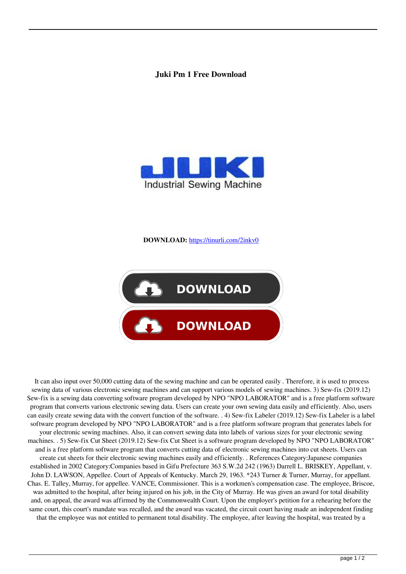## **Juki Pm 1 Free Download**



**DOWNLOAD:** <https://tinurli.com/2inkv0>



 It can also input over 50,000 cutting data of the sewing machine and can be operated easily . Therefore, it is used to process sewing data of various electronic sewing machines and can support various models of sewing machines. 3) Sew-fix (2019.12) Sew-fix is a sewing data converting software program developed by NPO "NPO LABORATOR" and is a free platform software program that converts various electronic sewing data. Users can create your own sewing data easily and efficiently. Also, users can easily create sewing data with the convert function of the software. . 4) Sew-fix Labeler (2019.12) Sew-fix Labeler is a label software program developed by NPO "NPO LABORATOR" and is a free platform software program that generates labels for your electronic sewing machines. Also, it can convert sewing data into labels of various sizes for your electronic sewing machines. . 5) Sew-fix Cut Sheet (2019.12) Sew-fix Cut Sheet is a software program developed by NPO "NPO LABORATOR" and is a free platform software program that converts cutting data of electronic sewing machines into cut sheets. Users can create cut sheets for their electronic sewing machines easily and efficiently. . References Category:Japanese companies established in 2002 Category:Companies based in Gifu Prefecture 363 S.W.2d 242 (1963) Darrell L. BRISKEY, Appellant, v. John D. LAWSON, Appellee. Court of Appeals of Kentucky. March 29, 1963. \*243 Turner & Turner, Murray, for appellant. Chas. E. Talley, Murray, for appellee. VANCE, Commissioner. This is a workmen's compensation case. The employee, Briscoe, was admitted to the hospital, after being injured on his job, in the City of Murray. He was given an award for total disability and, on appeal, the award was affirmed by the Commonwealth Court. Upon the employer's petition for a rehearing before the same court, this court's mandate was recalled, and the award was vacated, the circuit court having made an independent finding that the employee was not entitled to permanent total disability. The employee, after leaving the hospital, was treated by a